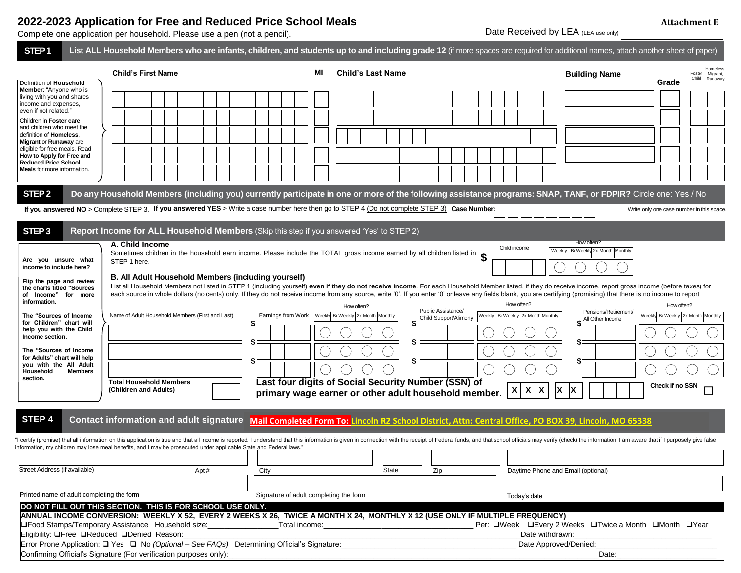## **2022-2023 Application for Free and Reduced Price School Meals**

Complete one application per household. Please use a pen (not a pencil).

**Grade DO NOT FILL OUT THIS SECTION. THIS IS FOR SCHOOL USE ONLY. ANNUAL INCOME CONVERSION: WEEKLY X 52, EVERY 2 WEEKS X 26, TWICE A MONTH X 24, MONTHLY X 12 (USE ONLY IF MULTIPLE FREQUENCY)** Food Stamps/Temporary Assistance Household size:\_\_\_\_\_\_\_\_\_\_\_\_\_\_\_\_\_Total income:\_\_\_\_\_\_\_\_\_\_\_\_\_\_\_\_\_\_\_\_\_\_\_\_\_\_\_\_\_\_\_\_\_\_\_\_ Per: Week Every 2 Weeks Twice a Month Month Year Eligibility: OFree OReduced ODenied Reason: etc. with a state of the state of the state of the state of the state of the state of the state of the state of the state of the state of the state of the state of the state of t **STEP 1** List ALL Household Members who are infants, children, and students up to and including grade 12 (if more spaces are required for additional names, attach another sheet of paper) Definition of **Household Member**: "Anyone who is living with you and shares income and expenses, even if not related." Children in **Foster care** and children who meet the definition of **Homeless**, **Migrant** or **Runaway** are eligible for free meals. Read **How to Apply for Free and Reduced Price School Meals** for more information. **STEP 2 Do any Household Members (including you) currently participate in one or more of the following assistance programs: SNAP, TANF, or FDPIR?** Circle one: Yes / No Write only one case number in this space. **STEP 3 Report Income for ALL Household Members** (Skip this step if you answered 'Yes' to STEP 2) **STEP 4**  "I certify (promise) that all information on this application is true and that all income is reported. I understand that this information is given in connection with the receipt of Federal funds, and that school officials information, my children may lose meal benefits, and I may be prosecuted under applicable State and Federal laws." **Contact information and adult signature Mail Completed Form To: Lincoln R2 School District, Attn: Central Office, PO BOX 39, Lincoln, MO 65338**Weekly Bi-Weekly 2x Month Monthly **If you answered NO** > Complete STEP 3. **If you answered YES** > Write a case number here then go to STEP 4 (Do not complete STEP 3) **Case Number:** Printed name of adult completing the form Signature of adult completing the form Street Address (if available) **Apt #** Apt # City City State Zip Daytime Phone and Email (optional) Today's date How often? **A. Child Income** Sometimes children in the household earn income. Please include the TOTAL gross income earned by all children listed in **\$** STEP 1 here. Child income<br>
Weekly Bi-Weekly 2x Month Monthly **B. All Adult Household Members (including yourself)** List all Household Members not listed in STEP 1 (including yourself) even if they do not receive income. For each Household Member listed, if they do receive income, report gross income (before taxes) for each source in whole dollars (no cents) only. If they do not receive income from any source, write '0'. If you enter '0' or leave any fields blank, you are certifying (promising) that there is no income to report. How often? Public Assistance/ Child Support/Alimony How often? Pensions/Retirement/ All Other Income How often? Name of Adult Household Members (First and Last) Earnings from Work Weekly Bi-Weekly 2x Month Monthly **\$ \$ \$ \$ \$ \$ \$ \$ \$ Total Household Members (Children and Adults) Last four digits of Social Security Number (SSN) of primary wage earner or other adult household member.**  $\begin{bmatrix} x \\ x \end{bmatrix}$   $\begin{bmatrix} x \\ x \end{bmatrix}$ **Are you unsure what income to include here? Flip the page and review the charts titled "Sources of Income" for more information. The "Sources of Income for Children" chart will help you with the Child Income section. The "Sources of Income for Adults" chart will help you with the All Adult Household Members section.** Weekly Bi-Weekly 2x Month Monthly **Child's First Name MI Child's Last Name** Foster Child Homeless, Migrant **Building Name Check if no SSN** 

|                                                                                                              | <b>PULC</b> WILLIGHTHE |
|--------------------------------------------------------------------------------------------------------------|------------------------|
| Error Prone Application: $\Box$ Yes $\Box$ No <i>(Optional – See FAQs)</i> Determining Official's Signature: | Date Approved/Denied:  |
| Confirming Official's Signature (For verification purposes only):                                            | Date                   |

Date Received by LEA (LEA use only)

**Attachment E**